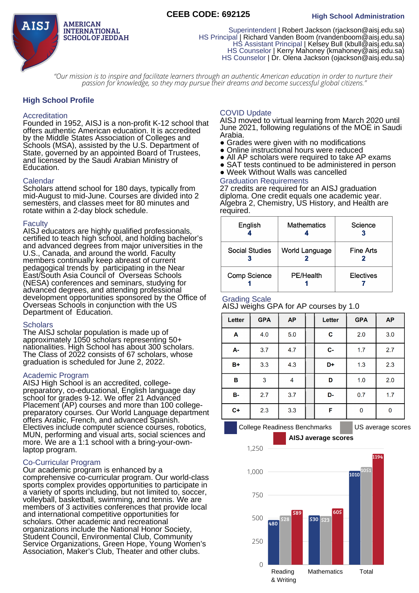## **CEEB CODE: 692125 High School Administration**



Superintendent | Robert Jackson (rjackson@aisj.edu.sa) HS Principal | Richard Vanden Boom (rvandenboom@aisj.edu.sa) HS Assistant Principal | Kelsey Bull (kbull@aisj.edu.sa) HS Counselor | Kerry Mahoney (kmahoney@aisj.edu.sa) HS Counselor | Dr. Olena Jackson (ojackson@aisj.edu.sa)

"Our mission is to inspire and facilitate learners through an authentic American education in order to nurture their *passion for knowledge, so they may pursue their dreams and become successful global citizens."*

## **High School Profile**

#### Accreditation

Founded in 1952, AISJ is a non-profit K-12 school that offers authentic American education. It is accredited by the Middle States Association of Colleges and Schools (MSA), assisted by the U.S. Department of State, governed by an appointed Board of Trustees, and licensed by the Saudi Arabian Ministry of Education.

#### Calendar

Scholars attend school for 180 days, typically from mid-August to mid-June. Courses are divided into 2 semesters, and classes meet for 80 minutes and rotate within a 2-day block schedule.

#### Faculty

AISJ educators are highly qualified professionals, certified to teach high school, and holding bachelor's and advanced degrees from major universities in the U.S., Canada, and around the world. Faculty members continually keep abreast of current pedagogical trends by participating in the Near East/South Asia Council of Overseas Schools (NESA) conferences and seminars, studying for advanced degrees, and attending professional development opportunities sponsored by the Office of Overseas Schools in conjunction with the US Department of Education.

#### **Scholars**

The AISJ scholar population is made up of approximately 1050 scholars representing 50+ nationalities. High School has about 300 scholars. The Class of 2022 consists of 67 scholars, whose graduation is scheduled for June 2, 2022.

## Academic Program

AISJ High School is an accredited, collegepreparatory, co-educational, English language day school for grades 9-12. We offer 21 Advanced Placement (AP) courses and more than 100 college‐ preparatory courses. Our World Language department offers Arabic, French, and advanced Spanish. Electives include computer science courses, robotics, MUN, performing and visual arts, social sciences and more. We are a 1:1 school with a bring-your-ownlaptop program.

#### Co‐Curricular Program

Our academic program is enhanced by a comprehensive co‐curricular program. Our world-class sports complex provides opportunities to participate in a variety of sports including, but not limited to, soccer, volleyball, basketball, swimming, and tennis. We are members of 3 activities conferences that provide local and international competitive opportunities for scholars. Other academic and recreational organizations include the National Honor Society, Student Council, Environmental Club, Community Service Organizations, Green Hope, Young Women's Association, Maker's Club, Theater and other clubs.

## COVID Update

AISJ moved to virtual learning from March 2020 until June 2021, following regulations of the MOE in Saudi Arabia.

- Grades were given with no modifications<br>• Online instructional hours were reduced
- Online instructional hours were reduced
- All AP scholars were required to take AP exams
- SAT tests continued to be administered in person
- Week Without Walls was cancelled

# Graduation Requirements

27 credits are required for an AISJ graduation diploma. One credit equals one academic year. Algebra 2, Chemistry, US History, and Health are required.

| English             | <b>Mathematics</b> | Science          |  |
|---------------------|--------------------|------------------|--|
| Social Studies      | World Language     | Fine Arts        |  |
| <b>Comp Science</b> | <b>PE/Health</b>   | <b>Electives</b> |  |

## Grading Scale

AISJ weighs GPA for AP courses by 1.0

| Letter    | <b>GPA</b>     | <b>AP</b> | Letter      | <b>GPA</b> | <b>AP</b> |
|-----------|----------------|-----------|-------------|------------|-----------|
| A         | 4.0            | 5.0       | $\mathbf C$ | 2.0        | 3.0       |
| A-        | 3.7            | 4.7       | $C-$        | 1.7        | 2.7       |
| $B+$      | 3.3            | 4.3       | D+          | 1.3        | 2.3       |
| B         | $\overline{3}$ | 4         | D           | 1.0        | 2.0       |
| <b>B-</b> | 2.7            | 3.7       | D-          | 0.7        | 1.7       |
| $C+$      | 2.3            | 3.3       | F           | 0          | 0         |
|           |                |           |             |            |           |

College Readiness Benchmarks | US average scores **AISJ average scores**

1194

1,250